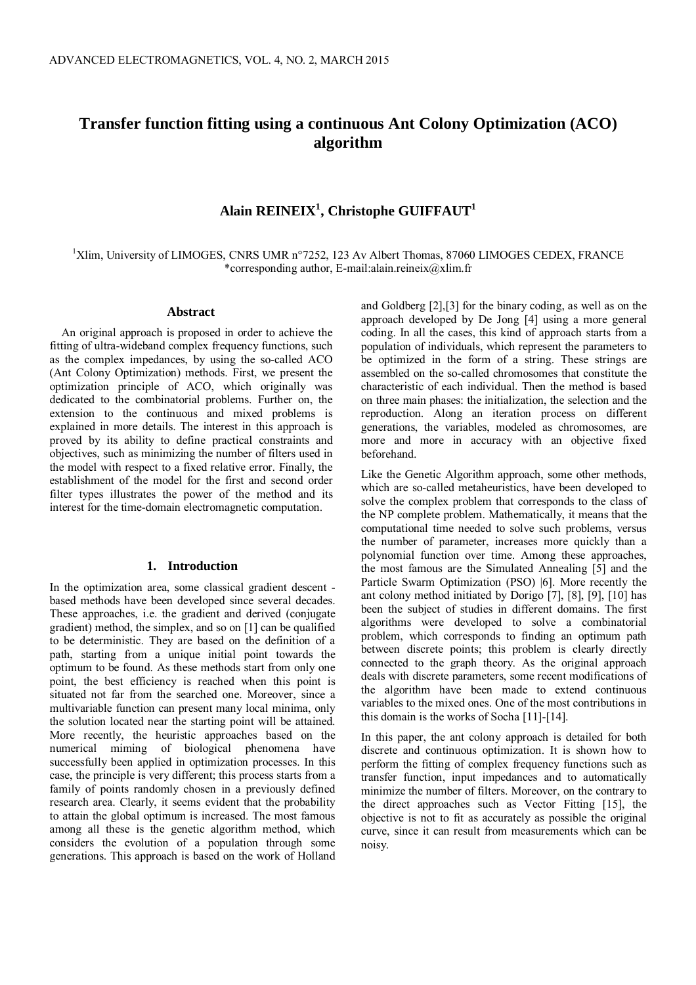# **Transfer function fitting using a continuous Ant Colony Optimization (ACO) algorithm**

# **Alain REINEIX<sup>1</sup> , Christophe GUIFFAUT<sup>1</sup>**

<sup>1</sup>Xlim, University of LIMOGES, CNRS UMR n°7252, 123 Av Albert Thomas, 87060 LIMOGES CEDEX, FRANCE \*corresponding author, [E-mail:alain.reineix@xlim.fr](mailto:E-mail:alain.reineix@xlim.fr)

#### **Abstract**

An original approach is proposed in order to achieve the fitting of ultra-wideband complex frequency functions, such as the complex impedances, by using the so-called ACO (Ant Colony Optimization) methods. First, we present the optimization principle of ACO, which originally was dedicated to the combinatorial problems. Further on, the extension to the continuous and mixed problems is explained in more details. The interest in this approach is proved by its ability to define practical constraints and objectives, such as minimizing the number of filters used in the model with respect to a fixed relative error. Finally, the establishment of the model for the first and second order filter types illustrates the power of the method and its interest for the time-domain electromagnetic computation.

### **1. Introduction**

In the optimization area, some classical gradient descent based methods have been developed since several decades. These approaches, i.e. the gradient and derived (conjugate gradient) method, the simplex, and so on [1] can be qualified to be deterministic. They are based on the definition of a path, starting from a unique initial point towards the optimum to be found. As these methods start from only one point, the best efficiency is reached when this point is situated not far from the searched one. Moreover, since a multivariable function can present many local minima, only the solution located near the starting point will be attained. More recently, the heuristic approaches based on the numerical miming of biological phenomena have successfully been applied in optimization processes. In this case, the principle is very different; this process starts from a family of points randomly chosen in a previously defined research area. Clearly, it seems evident that the probability to attain the global optimum is increased. The most famous among all these is the genetic algorithm method, which considers the evolution of a population through some generations. This approach is based on the work of Holland and Goldberg [2],[3] for the binary coding, as well as on the approach developed by De Jong [4] using a more general coding. In all the cases, this kind of approach starts from a population of individuals, which represent the parameters to be optimized in the form of a string. These strings are assembled on the so-called chromosomes that constitute the characteristic of each individual. Then the method is based on three main phases: the initialization, the selection and the reproduction. Along an iteration process on different generations, the variables, modeled as chromosomes, are more and more in accuracy with an objective fixed beforehand.

Like the Genetic Algorithm approach, some other methods, which are so-called metaheuristics, have been developed to solve the complex problem that corresponds to the class of the NP complete problem. Mathematically, it means that the computational time needed to solve such problems, versus the number of parameter, increases more quickly than a polynomial function over time. Among these approaches, the most famous are the Simulated Annealing [5] and the Particle Swarm Optimization (PSO) |6]. More recently the ant colony method initiated by Dorigo [7], [8], [9], [10] has been the subject of studies in different domains. The first algorithms were developed to solve a combinatorial problem, which corresponds to finding an optimum path between discrete points; this problem is clearly directly connected to the graph theory. As the original approach deals with discrete parameters, some recent modifications of the algorithm have been made to extend continuous variables to the mixed ones. One of the most contributions in this domain is the works of Socha [11]-[14].

In this paper, the ant colony approach is detailed for both discrete and continuous optimization. It is shown how to perform the fitting of complex frequency functions such as transfer function, input impedances and to automatically minimize the number of filters. Moreover, on the contrary to the direct approaches such as Vector Fitting [15], the objective is not to fit as accurately as possible the original curve, since it can result from measurements which can be noisy.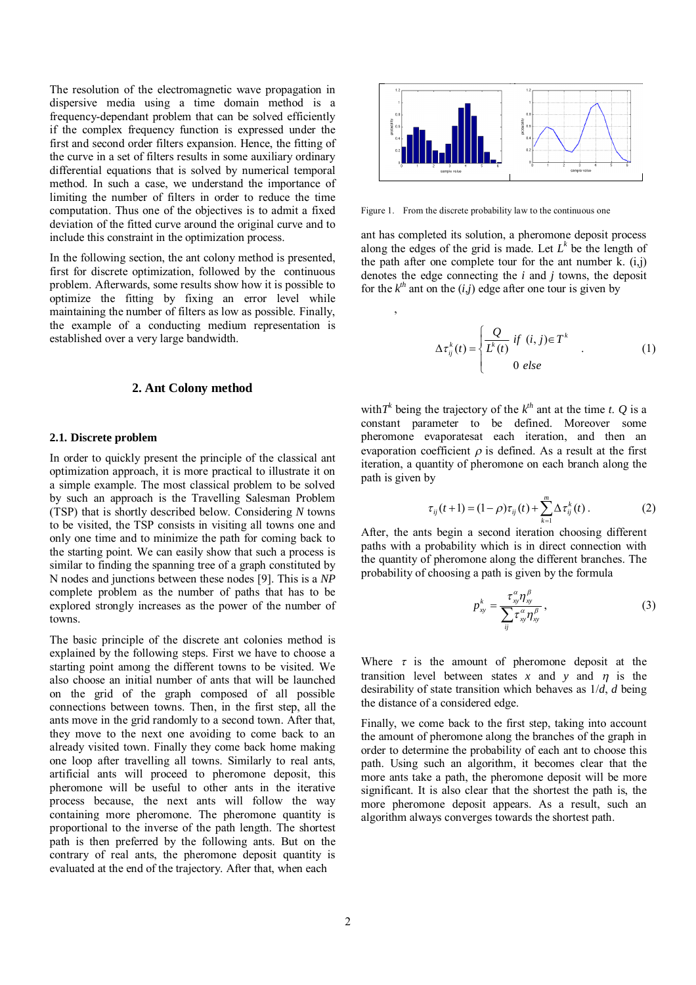The resolution of the electromagnetic wave propagation in dispersive media using a time domain method is a frequency-dependant problem that can be solved efficiently if the complex frequency function is expressed under the first and second order filters expansion. Hence, the fitting of the curve in a set of filters results in some auxiliary ordinary differential equations that is solved by numerical temporal method. In such a case, we understand the importance of limiting the number of filters in order to reduce the time computation. Thus one of the objectives is to admit a fixed deviation of the fitted curve around the original curve and to include this constraint in the optimization process.

In the following section, the ant colony method is presented, first for discrete optimization, followed by the continuous problem. Afterwards, some results show how it is possible to optimize the fitting by fixing an error level while maintaining the number of filters as low as possible. Finally, the example of a conducting medium representation is established over a very large bandwidth.

## **2. Ant Colony method**

#### **2.1. Discrete problem**

In order to quickly present the principle of the classical ant optimization approach, it is more practical to illustrate it on a simple example. The most classical problem to be solved by such an approach is the Travelling Salesman Problem (TSP) that is shortly described below. Considering *N* towns to be visited, the TSP consists in visiting all towns one and only one time and to minimize the path for coming back to the starting point. We can easily show that such a process is similar to finding the spanning tree of a graph constituted by N nodes and junctions between these nodes [9]. This is a *NP* complete problem as the number of paths that has to be explored strongly increases as the power of the number of towns.

The basic principle of the discrete ant colonies method is explained by the following steps. First we have to choose a starting point among the different towns to be visited. We also choose an initial number of ants that will be launched on the grid of the graph composed of all possible connections between towns. Then, in the first step, all the ants move in the grid randomly to a second town. After that, they move to the next one avoiding to come back to an already visited town. Finally they come back home making one loop after travelling all towns. Similarly to real ants, artificial ants will proceed to pheromone deposit, this pheromone will be useful to other ants in the iterative process because, the next ants will follow the way containing more pheromone. The pheromone quantity is proportional to the inverse of the path length. The shortest path is then preferred by the following ants. But on the contrary of real ants, the pheromone deposit quantity is evaluated at the end of the trajectory. After that, when each



Figure 1. From the discrete probability law to the continuous one

 $\overline{\phantom{a}}$ 

ant has completed its solution, a pheromone deposit process along the edges of the grid is made. Let  $L^k$  be the length of the path after one complete tour for the ant number  $\hat{k}$ . (i,j) denotes the edge connecting the *i* and *j* towns, the deposit for the  $k^{th}$  ant on the  $(i,j)$  edge after one tour is given by

$$
\Delta \tau_{ij}^{k}(t) = \begin{cases} \frac{Q}{L^{k}(t)} & \text{if } (i, j) \in T^{k} \\ 0 & \text{else} \end{cases}
$$
 (1)

with  $T^k$  being the trajectory of the  $k^{th}$  ant at the time *t*. Q is a constant parameter to be defined. Moreover some pheromone evaporatesat each iteration, and then an evaporation coefficient  $\rho$  is defined. As a result at the first iteration, a quantity of pheromone on each branch along the path is given by

$$
\tau_{ij}(t+1) = (1-\rho)\tau_{ij}(t) + \sum_{k=1}^{m} \Delta \tau_{ij}^{k}(t).
$$
 (2)

After, the ants begin a second iteration choosing different paths with a probability which is in direct connection with the quantity of pheromone along the different branches. The probability of choosing a path is given by the formula

$$
p_{xy}^k = \frac{\tau_{xy}^\alpha \eta_{xy}^\beta}{\sum_{ij} \tau_{xy}^\alpha \eta_{xy}^\beta},
$$
 (3)

Where  $\tau$  is the amount of pheromone deposit at the transition level between states x and y and  $\eta$  is the desirability of state transition which behaves as 1/*d*, *d* being the distance of a considered edge.

Finally, we come back to the first step, taking into account the amount of pheromone along the branches of the graph in order to determine the probability of each ant to choose this path. Using such an algorithm, it becomes clear that the more ants take a path, the pheromone deposit will be more significant. It is also clear that the shortest the path is, the more pheromone deposit appears. As a result, such an algorithm always converges towards the shortest path.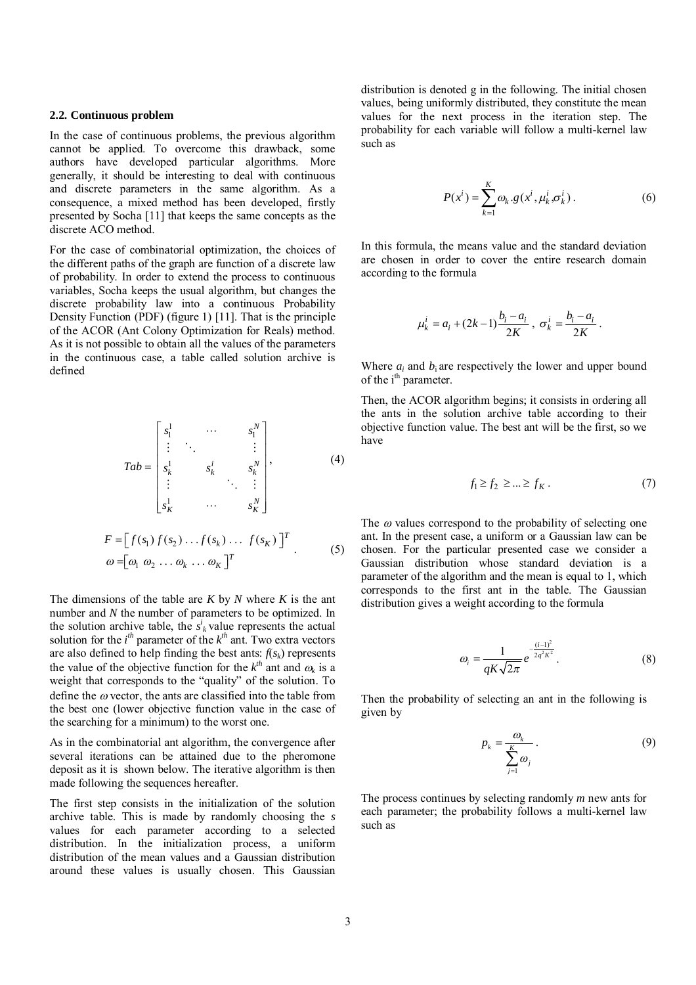#### **2.2. Continuous problem**

In the case of continuous problems, the previous algorithm cannot be applied. To overcome this drawback, some authors have developed particular algorithms. More generally, it should be interesting to deal with continuous and discrete parameters in the same algorithm. As a consequence, a mixed method has been developed, firstly presented by Socha [11] that keeps the same concepts as the discrete ACO method.

For the case of combinatorial optimization, the choices of the different paths of the graph are function of a discrete law of probability. In order to extend the process to continuous variables, Socha keeps the usual algorithm, but changes the discrete probability law into a continuous Probability Density Function (PDF) (figure 1) [11]. That is the principle of the ACOR (Ant Colony Optimization for Reals) method. As it is not possible to obtain all the values of the parameters in the continuous case, a table called solution archive is defined

$$
Tab = \begin{bmatrix} s_1^1 & \cdots & s_1^N \\ \vdots & \ddots & \vdots \\ s_k^1 & s_k^i & s_k^N \\ \vdots & \ddots & \vdots \\ s_k^1 & \cdots & s_k^N \end{bmatrix}, \qquad (4)
$$
\n
$$
F = \begin{bmatrix} f(s_1) f(s_2) \dots f(s_k) \dots f(s_k) \end{bmatrix}^T
$$
\n
$$
\omega = \begin{bmatrix} \omega_1 & \omega_2 & \dots & \omega_k & \dots & \omega_k \end{bmatrix}^T \qquad (5)
$$

The dimensions of the table are *K* by *N* where *K* is the ant number and *N* the number of parameters to be optimized. In the solution archive table, the  $s^i_k$  value represents the actual solution for the  $i^{th}$  parameter of the  $k^{th}$  ant. Two extra vectors are also defined to help finding the best ants:  $f(s_k)$  represents the value of the objective function for the  $k^{th}$  ant and  $\omega_k$  is a weight that corresponds to the "quality" of the solution. To define the  $\omega$  vector, the ants are classified into the table from the best one (lower objective function value in the case of the searching for a minimum) to the worst one.

As in the combinatorial ant algorithm, the convergence after several iterations can be attained due to the pheromone deposit as it is shown below. The iterative algorithm is then made following the sequences hereafter.

The first step consists in the initialization of the solution archive table. This is made by randomly choosing the *s* values for each parameter according to a selected distribution. In the initialization process, a uniform distribution of the mean values and a Gaussian distribution around these values is usually chosen. This Gaussian

distribution is denoted g in the following. The initial chosen values, being uniformly distributed, they constitute the mean values for the next process in the iteration step. The probability for each variable will follow a multi-kernel law such as

$$
P(xi) = \sum_{k=1}^{K} \omega_k \cdot g(x^i, \mu_k^i, \sigma_k^i).
$$
 (6)

In this formula, the means value and the standard deviation are chosen in order to cover the entire research domain according to the formula

$$
\mu_k^i = a_i + (2k-1)\frac{b_i - a_i}{2K}, \ \sigma_k^i = \frac{b_i - a_i}{2K} \, .
$$

Where  $a_i$  and  $b_i$  are respectively the lower and upper bound of the i<sup>th</sup> parameter.

Then, the ACOR algorithm begins; it consists in ordering all the ants in the solution archive table according to their objective function value. The best ant will be the first, so we have

$$
f_1 \ge f_2 \ge \dots \ge f_K. \tag{7}
$$

The  $\omega$  values correspond to the probability of selecting one ant. In the present case, a uniform or a Gaussian law can be chosen. For the particular presented case we consider a Gaussian distribution whose standard deviation is a parameter of the algorithm and the mean is equal to 1, which corresponds to the first ant in the table. The Gaussian distribution gives a weight according to the formula

$$
\omega_i = \frac{1}{qK\sqrt{2\pi}}e^{-\frac{(i-1)^2}{2q^2K^2}}.\tag{8}
$$

Then the probability of selecting an ant in the following is given by

$$
p_k = \frac{\omega_k}{\sum_{j=1}^K \omega_j}.
$$
 (9)

The process continues by selecting randomly *m* new ants for each parameter; the probability follows a multi-kernel law such as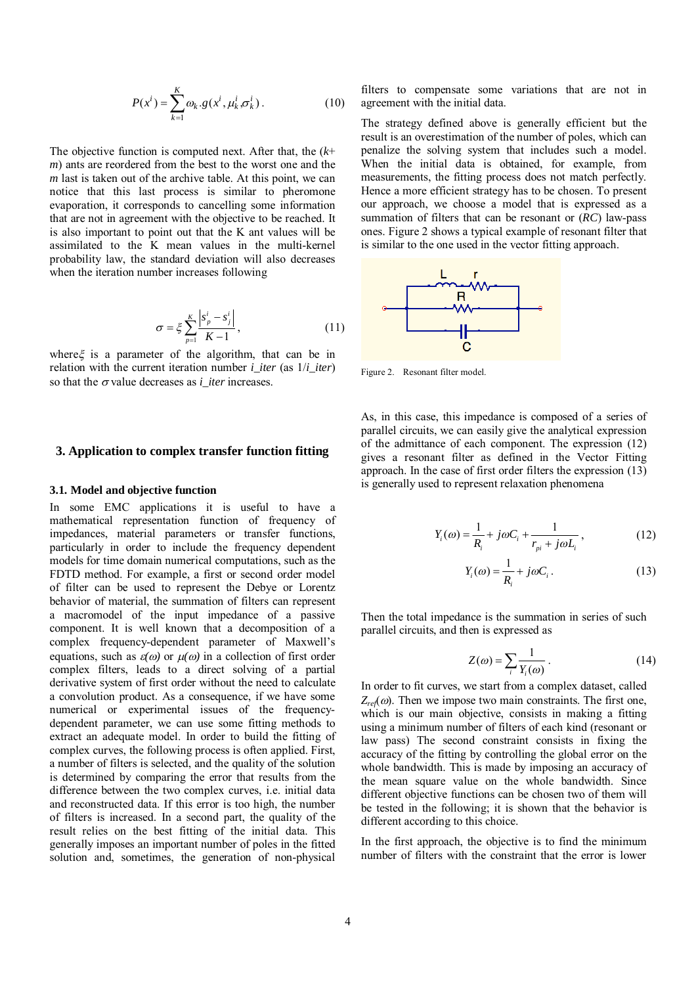$$
P(x^{i}) = \sum_{k=1}^{K} \omega_{k} \cdot g(x^{i}, \mu_{k}^{i}, \sigma_{k}^{i}).
$$
 (10)

The objective function is computed next. After that, the (*k*+ *m*) ants are reordered from the best to the worst one and the *m* last is taken out of the archive table. At this point, we can notice that this last process is similar to pheromone evaporation, it corresponds to cancelling some information that are not in agreement with the objective to be reached. It is also important to point out that the K ant values will be assimilated to the K mean values in the multi-kernel probability law, the standard deviation will also decreases when the iteration number increases following

$$
\sigma = \xi \sum_{p=1}^{K} \frac{|s_p^i - s_j^i|}{K - 1},
$$
\n(11)

where  $\xi$  is a parameter of the algorithm, that can be in relation with the current iteration number *i\_iter* (as 1/*i\_iter*) so that the  $\sigma$  value decreases as *i* iter increases.

## **3. Application to complex transfer function fitting**

#### **3.1. Model and objective function**

In some EMC applications it is useful to have a mathematical representation function of frequency of impedances, material parameters or transfer functions, particularly in order to include the frequency dependent models for time domain numerical computations, such as the FDTD method. For example, a first or second order model of filter can be used to represent the Debye or Lorentz behavior of material, the summation of filters can represent a macromodel of the input impedance of a passive component. It is well known that a decomposition of a complex frequency-dependent parameter of Maxwell's equations, such as  $\varepsilon(\omega)$  or  $\mu(\omega)$  in a collection of first order complex filters, leads to a direct solving of a partial derivative system of first order without the need to calculate a convolution product. As a consequence, if we have some numerical or experimental issues of the frequencydependent parameter, we can use some fitting methods to extract an adequate model. In order to build the fitting of complex curves, the following process is often applied. First, a number of filters is selected, and the quality of the solution is determined by comparing the error that results from the difference between the two complex curves, i.e. initial data and reconstructed data. If this error is too high, the number of filters is increased. In a second part, the quality of the result relies on the best fitting of the initial data. This generally imposes an important number of poles in the fitted solution and, sometimes, the generation of non-physical

filters to compensate some variations that are not in agreement with the initial data.

The strategy defined above is generally efficient but the result is an overestimation of the number of poles, which can penalize the solving system that includes such a model. When the initial data is obtained, for example, from measurements, the fitting process does not match perfectly. Hence a more efficient strategy has to be chosen. To present our approach, we choose a model that is expressed as a summation of filters that can be resonant or (*RC*) law-pass ones. Figure 2 shows a typical example of resonant filter that is similar to the one used in the vector fitting approach.



Figure 2. Resonant filter model.

As, in this case, this impedance is composed of a series of parallel circuits, we can easily give the analytical expression of the admittance of each component. The expression (12) gives a resonant filter as defined in the Vector Fitting approach. In the case of first order filters the expression (13) is generally used to represent relaxation phenomena

$$
Y_i(\omega) = \frac{1}{R_i} + j\omega C_i + \frac{1}{r_{pi} + j\omega L_i},
$$
 (12)

$$
Y_i(\omega) = \frac{1}{R_i} + j\omega C_i.
$$
 (13)

Then the total impedance is the summation in series of such parallel circuits, and then is expressed as

$$
Z(\omega) = \sum_{i} \frac{1}{Y_i(\omega)}.
$$
 (14)

In order to fit curves, we start from a complex dataset, called  $Z_{ref}(\omega)$ . Then we impose two main constraints. The first one, which is our main objective, consists in making a fitting using a minimum number of filters of each kind (resonant or law pass) The second constraint consists in fixing the accuracy of the fitting by controlling the global error on the whole bandwidth. This is made by imposing an accuracy of the mean square value on the whole bandwidth. Since different objective functions can be chosen two of them will be tested in the following; it is shown that the behavior is different according to this choice.

In the first approach, the objective is to find the minimum number of filters with the constraint that the error is lower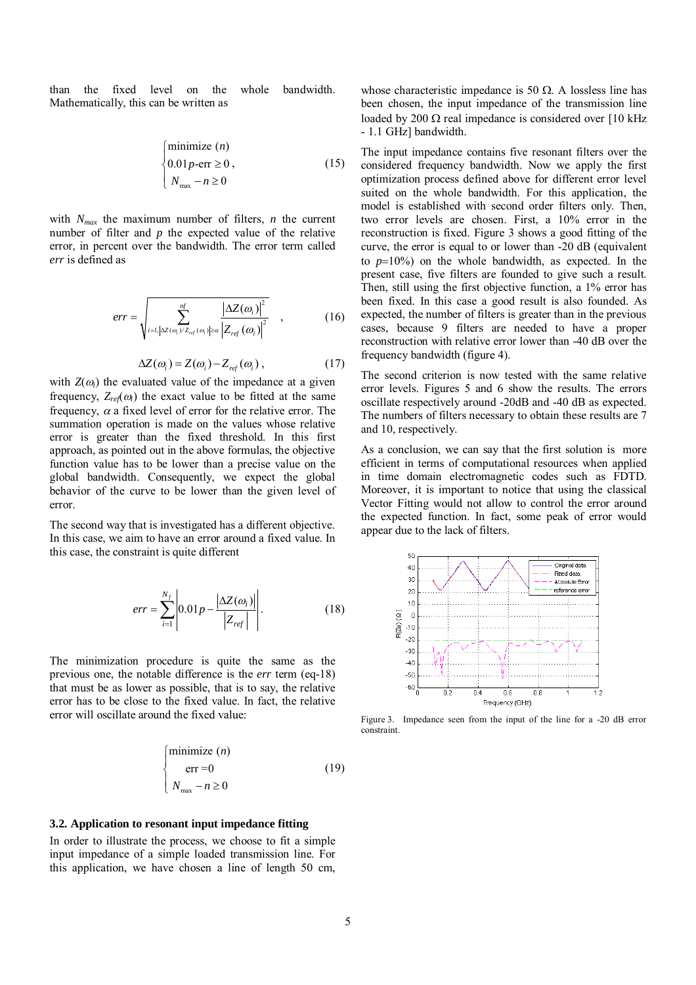than the fixed level on the whole bandwidth. Mathematically, this can be written as

$$
\begin{cases}\n\text{minimize } (n) \\
0.01p-\text{err} \ge 0, \\
N_{\text{max}} - n \ge 0\n\end{cases}
$$
\n(15)

with  $N_{max}$  the maximum number of filters, *n* the current number of filter and *p* the expected value of the relative error, in percent over the bandwidth. The error term called *err* is defined as

$$
err = \sqrt{\sum_{i=1,|\Delta Z(\omega_i)/Z_{ref}(\omega_i)|\geq \alpha} \frac{|\Delta Z(\omega_i)|^2}{|Z_{ref}(\omega_i)|^2}}, \qquad (16)
$$

$$
\Delta Z(\omega_i) = Z(\omega_i) - Z_{ref}(\omega_i) , \qquad (17)
$$

with  $Z(\omega_i)$  the evaluated value of the impedance at a given frequency,  $Z_{ref}(\omega_i)$  the exact value to be fitted at the same frequency,  $\alpha$  a fixed level of error for the relative error. The summation operation is made on the values whose relative error is greater than the fixed threshold. In this first approach, as pointed out in the above formulas, the objective function value has to be lower than a precise value on the global bandwidth. Consequently, we expect the global behavior of the curve to be lower than the given level of error.

The second way that is investigated has a different objective. In this case, we aim to have an error around a fixed value. In this case, the constraint is quite different

$$
err = \sum_{i=1}^{N_f} \left| 0.01 p - \frac{\left| \Delta Z(\omega_i) \right|}{\left| Z_{ref} \right|} \right|.
$$
 (18)

The minimization procedure is quite the same as the previous one, the notable difference is the *err* term (eq-18) that must be as lower as possible, that is to say, the relative error has to be close to the fixed value. In fact, the relative error will oscillate around the fixed value:

$$
\begin{cases}\n\text{minimize } (n) \\
\text{err} = 0 \\
N_{\text{max}} - n \ge 0\n\end{cases} (19)
$$

### **3.2. Application to resonant input impedance fitting**

In order to illustrate the process, we choose to fit a simple input impedance of a simple loaded transmission line. For this application, we have chosen a line of length 50 cm,

whose characteristic impedance is 50  $\Omega$ . A lossless line has been chosen, the input impedance of the transmission line loaded by 200  $\Omega$  real impedance is considered over [10 kHz] - 1.1 GHz] bandwidth.

The input impedance contains five resonant filters over the considered frequency bandwidth. Now we apply the first optimization process defined above for different error level suited on the whole bandwidth. For this application, the model is established with second order filters only. Then, two error levels are chosen. First, a 10% error in the reconstruction is fixed. Figure 3 shows a good fitting of the curve, the error is equal to or lower than -20 dB (equivalent to  $p=10\%$ ) on the whole bandwidth, as expected. In the present case, five filters are founded to give such a result. Then, still using the first objective function, a 1% error has been fixed. In this case a good result is also founded. As expected, the number of filters is greater than in the previous cases, because 9 filters are needed to have a proper reconstruction with relative error lower than -40 dB over the frequency bandwidth (figure 4).

The second criterion is now tested with the same relative error levels. Figures 5 and 6 show the results. The errors oscillate respectively around -20dB and -40 dB as expected. The numbers of filters necessary to obtain these results are 7 and 10, respectively.

As a conclusion, we can say that the first solution is more efficient in terms of computational resources when applied in time domain electromagnetic codes such as FDTD. Moreover, it is important to notice that using the classical Vector Fitting would not allow to control the error around the expected function. In fact, some peak of error would appear due to the lack of filters.



Figure 3. Impedance seen from the input of the line for a -20 dB error constraint.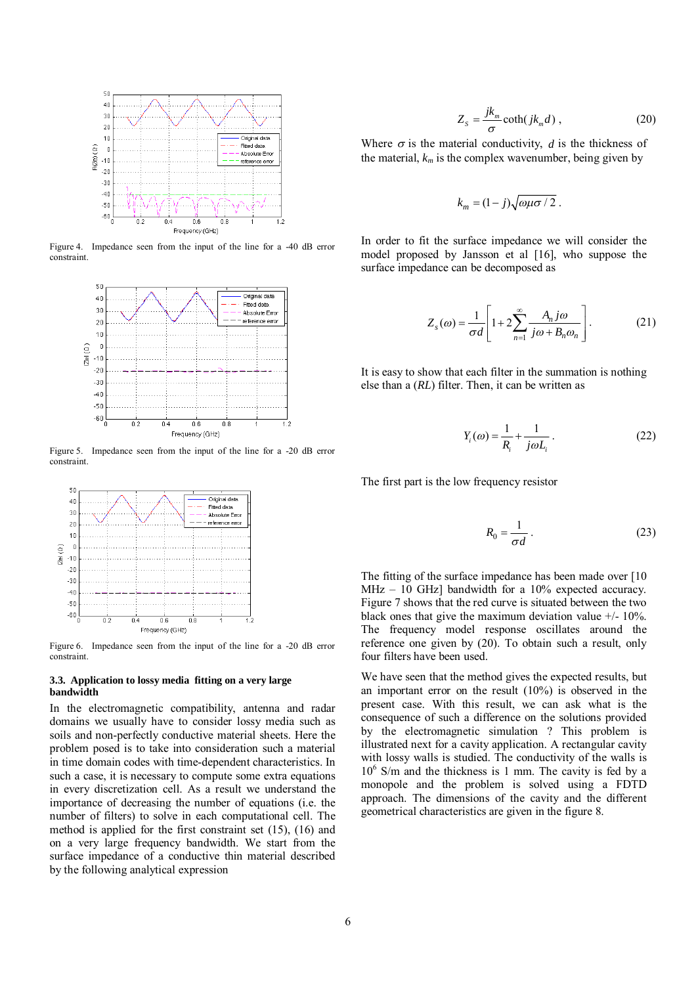

Figure 4. Impedance seen from the input of the line for a -40 dB error constraint.



Figure 5. Impedance seen from the input of the line for a -20 dB error constraint.



Figure 6. Impedance seen from the input of the line for a -20 dB error constraint.

#### **3.3. Application to lossy media fitting on a very large bandwidth**

In the electromagnetic compatibility, antenna and radar domains we usually have to consider lossy media such as soils and non-perfectly conductive material sheets. Here the problem posed is to take into consideration such a material in time domain codes with time-dependent characteristics. In such a case, it is necessary to compute some extra equations in every discretization cell. As a result we understand the importance of decreasing the number of equations (i.e. the number of filters) to solve in each computational cell. The method is applied for the first constraint set (15), (16) and on a very large frequency bandwidth. We start from the surface impedance of a conductive thin material described by the following analytical expression

$$
Z_s = \frac{jk_m}{\sigma} \coth(jk_m d) , \qquad (20)
$$

Where  $\sigma$  is the material conductivity, *d* is the thickness of the material,  $k_m$  is the complex wavenumber, being given by

$$
k_m = (1-j)\sqrt{\omega\mu\sigma}/2.
$$

In order to fit the surface impedance we will consider the model proposed by Jansson et al [16], who suppose the surface impedance can be decomposed as

$$
Z_s(\omega) = \frac{1}{\sigma d} \left[ 1 + 2 \sum_{n=1}^{\infty} \frac{A_n j \omega}{j \omega + B_n \omega_n} \right].
$$
 (21)

It is easy to show that each filter in the summation is nothing else than a (*RL*) filter. Then, it can be written as

$$
Y_i(\omega) = \frac{1}{R_i} + \frac{1}{j\omega L_i} \,. \tag{22}
$$

The first part is the low frequency resistor

$$
R_0 = \frac{1}{\sigma d} \,. \tag{23}
$$

The fitting of the surface impedance has been made over [10 MHz – 10 GHz] bandwidth for a 10% expected accuracy. Figure 7 shows that the red curve is situated between the two black ones that give the maximum deviation value  $+/- 10\%$ . The frequency model response oscillates around the reference one given by (20). To obtain such a result, only four filters have been used.

We have seen that the method gives the expected results, but an important error on the result (10%) is observed in the present case. With this result, we can ask what is the consequence of such a difference on the solutions provided by the electromagnetic simulation ? This problem is illustrated next for a cavity application. A rectangular cavity with lossy walls is studied. The conductivity of the walls is 10<sup>6</sup> S/m and the thickness is 1 mm. The cavity is fed by a monopole and the problem is solved using a FDTD approach. The dimensions of the cavity and the different geometrical characteristics are given in the figure 8.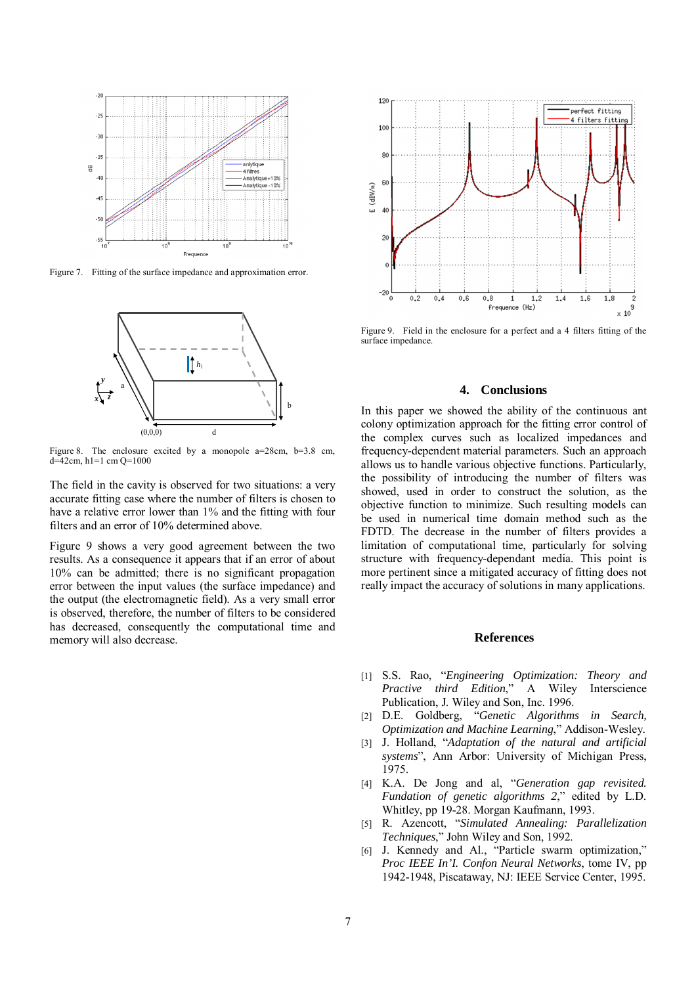

Figure 7. Fitting of the surface impedance and approximation error.



Figure 8. The enclosure excited by a monopole a=28cm, b=3.8 cm,  $d=42$ cm, h1=1 cm Q=1000

The field in the cavity is observed for two situations: a very accurate fitting case where the number of filters is chosen to have a relative error lower than 1% and the fitting with four filters and an error of 10% determined above.

Figure 9 shows a very good agreement between the two results. As a consequence it appears that if an error of about 10% can be admitted; there is no significant propagation error between the input values (the surface impedance) and the output (the electromagnetic field). As a very small error is observed, therefore, the number of filters to be considered has decreased, consequently the computational time and memory will also decrease.



Figure 9. Field in the enclosure for a perfect and a 4 filters fitting of the surface impedance.

## **4. Conclusions**

In this paper we showed the ability of the continuous ant colony optimization approach for the fitting error control of the complex curves such as localized impedances and frequency-dependent material parameters. Such an approach allows us to handle various objective functions. Particularly, the possibility of introducing the number of filters was showed, used in order to construct the solution, as the objective function to minimize. Such resulting models can be used in numerical time domain method such as the FDTD. The decrease in the number of filters provides a limitation of computational time, particularly for solving structure with frequency-dependant media. This point is more pertinent since a mitigated accuracy of fitting does not really impact the accuracy of solutions in many applications.

# **References**

- [1] S.S. Rao, "*Engineering Optimization: Theory and Practive third Edition*," A Wiley Interscience Publication, J. Wiley and Son, Inc. 1996.
- [2] D.E. Goldberg, "*Genetic Algorithms in Search, Optimization and Machine Learning*," Addison-Wesley.
- [3] J. Holland, "*Adaptation of the natural and artificial systems*", Ann Arbor: University of Michigan Press, 1975.
- [4] K.A. De Jong and al, "*Generation gap revisited. Fundation of genetic algorithms 2*," edited by L.D. Whitley, pp 19-28. Morgan Kaufmann, 1993.
- [5] R. Azencott, "*Simulated Annealing: Parallelization Techniques*," John Wiley and Son, 1992.
- [6] J. Kennedy and Al., "Particle swarm optimization," *Proc IEEE In'I. Confon Neural Networks*, tome IV, pp 1942-1948, Piscataway, NJ: IEEE Service Center, 1995.